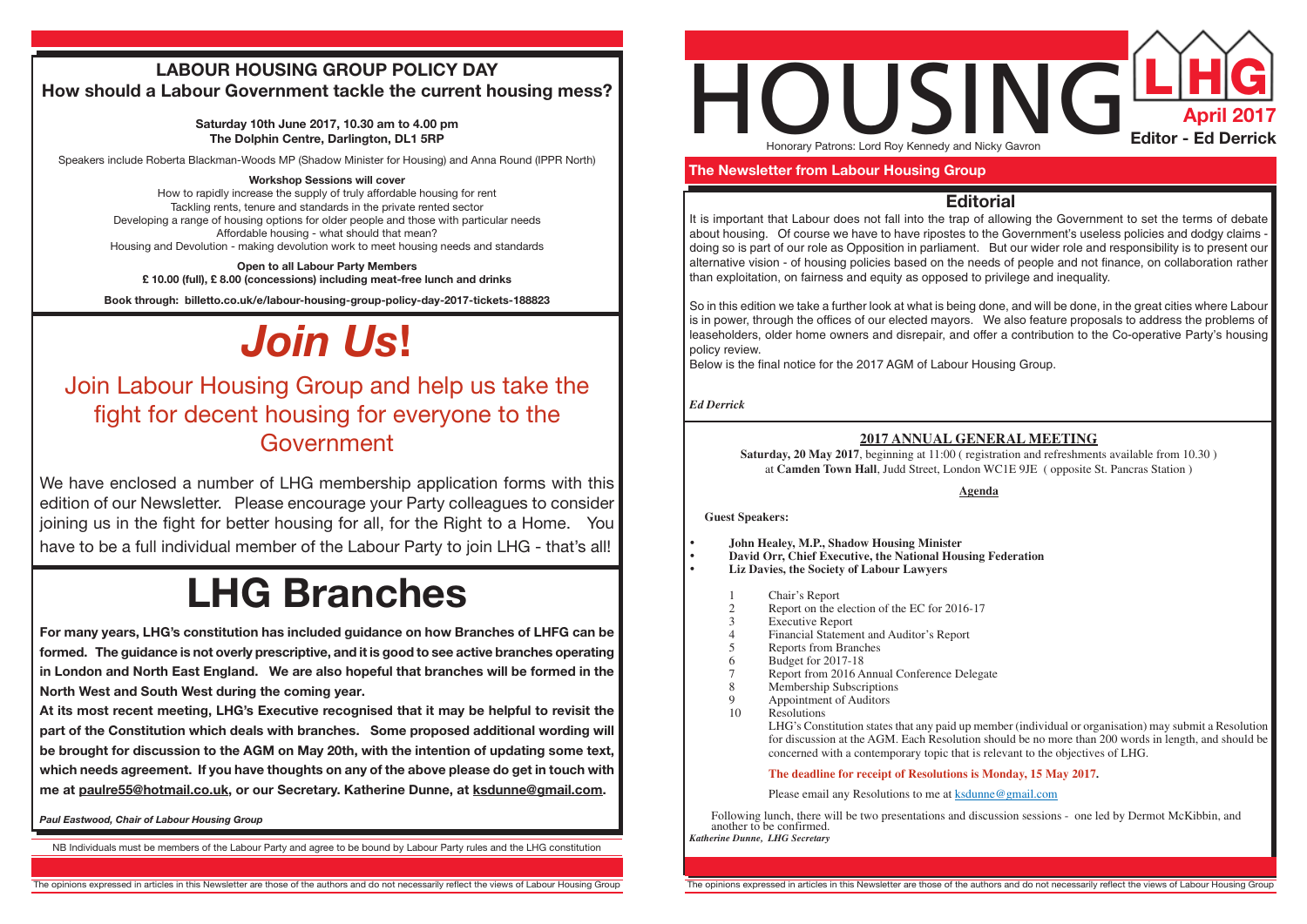

 **The Newsletter from Labour Housing Group**

### **Editorial**

It is important that Labour does not fall into the trap of allowing the Government to set the terms of debate about housing. Of course we have to have ripostes to the Government's useless policies and dodgy claims doing so is part of our role as Opposition in parliament. But our wider role and responsibility is to present our alternative vision - of housing policies based on the needs of people and not finance, on collaboration rather than exploitation, on fairness and equity as opposed to privilege and inequality.

Saturday, 20 May 2017, beginning at 11:00 (registration and refreshments available from 10.30) at **Camden Town Hall**, Judd Street, London WC1E 9JE ( opposite St. Pancras Station )

- **John Healey, M.P., Shadow Housing Minister**
- **David Orr, Chief Executive, the National Housing Federation**
- **Liz Davies, the Society of Labour Lawyers**
	- 1 Chair's Report<br>2 Report on the e
	- 2 Report on the election of the EC for 2016-17<br>3 Executive Report
	- 3 Executive Report<br>4 Financial Stateme
	- 4 Financial Statement and Auditor's Report
	- 5 Reports from Branches<br>6 Budget for 2017-18
	- 6 Budget for 2017-18
	- 7 Report from 2016 Annual Conference Delegate
	- 8 Membership Subscriptions<br>9 Appointment of Auditors
	- 9 Appointment of Auditors<br>10 Resolutions
	- **Resolutions**

So in this edition we take a further look at what is being done, and will be done, in the great cities where Labour is in power, through the offices of our elected mayors. We also feature proposals to address the problems of leaseholders, older home owners and disrepair, and offer a contribution to the Co-operative Party's housing policy review.

Below is the final notice for the 2017 AGM of Labour Housing Group.

*Ed Derrick*

#### **2017 ANNUAL GENERAL MEETING**

# HOUSING**L HG** Honorary Patrons: Lord Roy Kennedy and Nicky Gavron

**Agenda**

**Guest Speakers:**

# Join Labour Housing Group and help us take the fight for decent housing for everyone to the **Government**

LHG's Constitution states that any paid up member (individual or organisation) may submit a Resolution for discussion at the AGM. Each Resolution should be no more than 200 words in length, and should be concerned with a contemporary topic that is relevant to the objectives of LHG.

#### **The deadline for receipt of Resolutions is Monday, 15 May 2017.**

Please email any Resolutions to me at ksdunne@gmail.com

Following lunch, there will be two presentations and discussion sessions - one led by Dermot McKibbin, and another to be confirmed. *Katherine Dunne, LHG Secretary*

NB Individuals must be members of the Labour Party and agree to be bound by Labour Party rules and the LHG constitution

## **LABOUR HOUSING GROUP POLICY DAY How should a Labour Government tackle the current housing mess?**

**Saturday 10th June 2017, 10.30 am to 4.00 pm The Dolphin Centre, Darlington, DL1 5RP**

Speakers include Roberta Blackman-Woods MP (Shadow Minister for Housing) and Anna Round (IPPR North)

#### **Workshop Sessions will cover**

How to rapidly increase the supply of truly affordable housing for rent Tackling rents, tenure and standards in the private rented sector Developing a range of housing options for older people and those with particular needs Affordable housing - what should that mean? Housing and Devolution - making devolution work to meet housing needs and standards

**Open to all Labour Party Members £ 10.00 (full), £ 8.00 (concessions) including meat-free lunch and drinks**

**Book through: billetto.co.uk/e/labour-housing-group-policy-day-2017-tickets-188823**

# *Join Us***!**

We have enclosed a number of LHG membership application forms with this edition of our Newsletter. Please encourage your Party colleagues to consider joining us in the fight for better housing for all, for the Right to a Home. You have to be a full individual member of the Labour Party to join LHG - that's all!

# **LHG Branches**

**For many years, LHG's constitution has included guidance on how Branches of LHFG can be formed. The guidance is not overly prescriptive, and it is good to see active branches operating in London and North East England. We are also hopeful that branches will be formed in the North West and South West during the coming year.**

**At its most recent meeting, LHG's Executive recognised that it may be helpful to revisit the part of the Constitution which deals with branches. Some proposed additional wording will be brought for discussion to the AGM on May 20th, with the intention of updating some text, which needs agreement. If you have thoughts on any of the above please do get in touch with me at paulre55@hotmail.co.uk, or our Secretary. Katherine Dunne, at ksdunne@gmail.com.**

*Paul Eastwood, Chair of Labour Housing Group*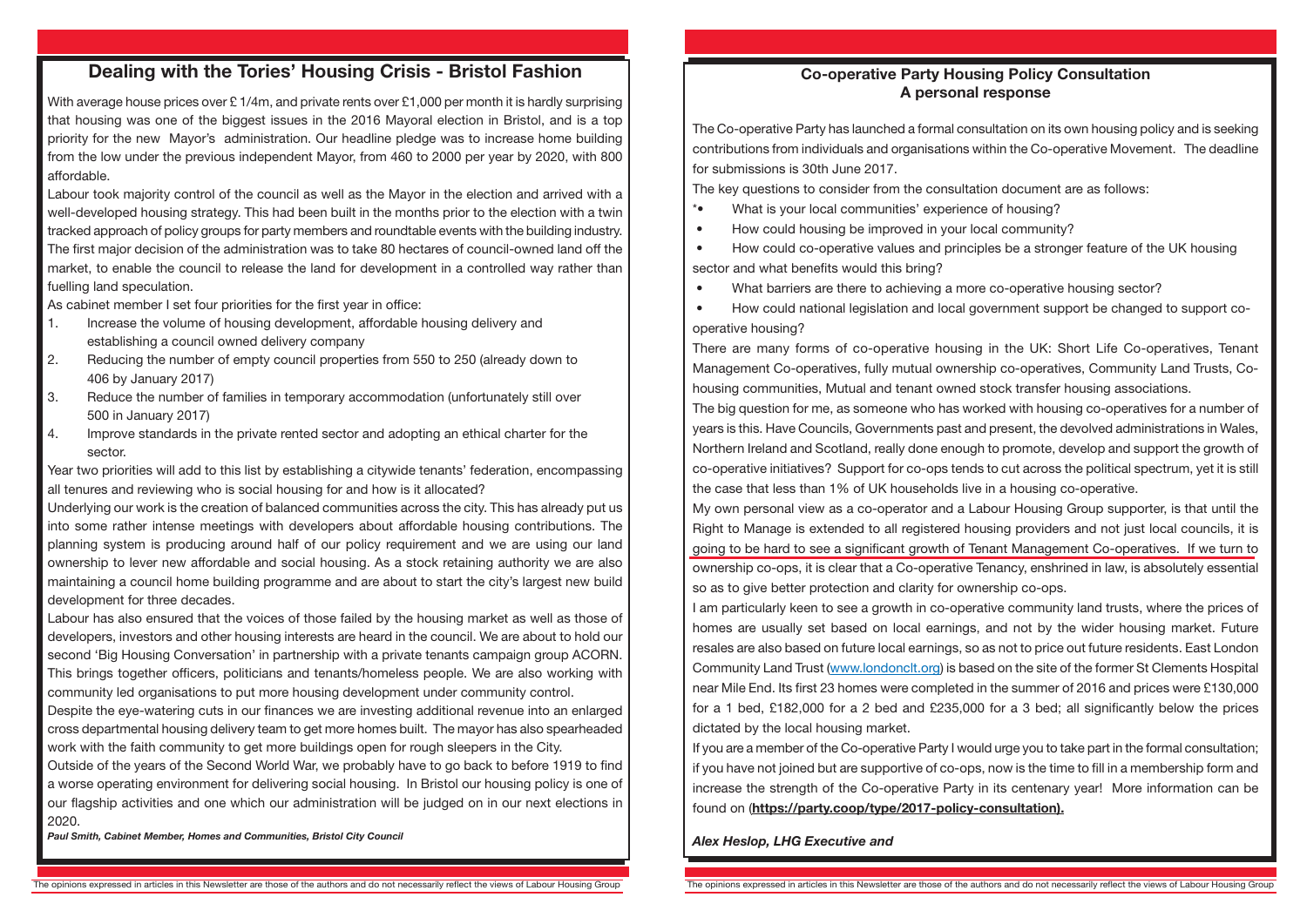### **Dealing with the Tories' Housing Crisis - Bristol Fashion**

With average house prices over £1/4m, and private rents over £1,000 per month it is hardly surprising that housing was one of the biggest issues in the 2016 Mayoral election in Bristol, and is a top priority for the new Mayor's administration. Our headline pledge was to increase home building from the low under the previous independent Mayor, from 460 to 2000 per year by 2020, with 800 affordable.

Labour took majority control of the council as well as the Mayor in the election and arrived with a well-developed housing strategy. This had been built in the months prior to the election with a twin tracked approach of policy groups for party members and roundtable events with the building industry. The first major decision of the administration was to take 80 hectares of council-owned land off the market, to enable the council to release the land for development in a controlled way rather than fuelling land speculation.

As cabinet member I set four priorities for the first year in office:

- 1. Increase the volume of housing development, affordable housing delivery and establishing a council owned delivery company
- 2. Reducing the number of empty council properties from 550 to 250 (already down to 406 by January 2017)
- 3. Reduce the number of families in temporary accommodation (unfortunately still over 500 in January 2017)
- 4. Improve standards in the private rented sector and adopting an ethical charter for the sector.

Year two priorities will add to this list by establishing a citywide tenants' federation, encompassing all tenures and reviewing who is social housing for and how is it allocated?

The key questions to consider from the consultation document are as follows: \*• What is your local communities' experience of housing? • How could housing be improved in your local community? • How could co-operative values and principles be a stronger feature of the UK housing

- 
- 

Underlying our work is the creation of balanced communities across the city. This has already put us into some rather intense meetings with developers about affordable housing contributions. The planning system is producing around half of our policy requirement and we are using our land ownership to lever new affordable and social housing. As a stock retaining authority we are also maintaining a council home building programme and are about to start the city's largest new build development for three decades.

Labour has also ensured that the voices of those failed by the housing market as well as those of developers, investors and other housing interests are heard in the council. We are about to hold our second 'Big Housing Conversation' in partnership with a private tenants campaign group ACORN. This brings together officers, politicians and tenants/homeless people. We are also working with community led organisations to put more housing development under community control.

Despite the eye-watering cuts in our finances we are investing additional revenue into an enlarged cross departmental housing delivery team to get more homes built. The mayor has also spearheaded work with the faith community to get more buildings open for rough sleepers in the City.

Outside of the years of the Second World War, we probably have to go back to before 1919 to find a worse operating environment for delivering social housing. In Bristol our housing policy is one of our flagship activities and one which our administration will be judged on in our next elections in 2020.

*Paul Smith, Cabinet Member, Homes and Communities, Bristol City Council*

### **Co-operative Party Housing Policy Consultation A personal response**

The Co-operative Party has launched a formal consultation on its own housing policy and is seeking contributions from individuals and organisations within the Co-operative Movement. The deadline for submissions is 30th June 2017.

sector and what benefits would this bring?

What barriers are there to achieving a more co-operative housing sector?

 • How could national legislation and local government support be changed to support cooperative housing?

There are many forms of co-operative housing in the UK: Short Life Co-operatives, Tenant Management Co-operatives, fully mutual ownership co-operatives, Community Land Trusts, Cohousing communities, Mutual and tenant owned stock transfer housing associations. The big question for me, as someone who has worked with housing co-operatives for a number of years is this. Have Councils, Governments past and present, the devolved administrations in Wales, Northern Ireland and Scotland, really done enough to promote, develop and support the growth of co-operative initiatives? Support for co-ops tends to cut across the political spectrum, yet it is still the case that less than 1% of UK households live in a housing co-operative. My own personal view as a co-operator and a Labour Housing Group supporter, is that until the Right to Manage is extended to all registered housing providers and not just local councils, it is going to be hard to see a significant growth of Tenant Management Co-operatives. If we turn to ownership co-ops, it is clear that a Co-operative Tenancy, enshrined in law, is absolutely essential so as to give better protection and clarity for ownership co-ops. I am particularly keen to see a growth in co-operative community land trusts, where the prices of homes are usually set based on local earnings, and not by the wider housing market. Future resales are also based on future local earnings, so as not to price out future residents. East London Community Land Trust (www.londonclt.org) is based on the site of the former St Clements Hospital near Mile End. Its first 23 homes were completed in the summer of 2016 and prices were £130,000 for a 1 bed, £182,000 for a 2 bed and £235,000 for a 3 bed; all significantly below the prices dictated by the local housing market.

If you are a member of the Co-operative Party I would urge you to take part in the formal consultation; if you have not joined but are supportive of co-ops, now is the time to fill in a membership form and increase the strength of the Co-operative Party in its centenary year! More information can be found on (**https://party.coop/type/2017-policy-consultation).**

#### *Alex Heslop, LHG Executive and*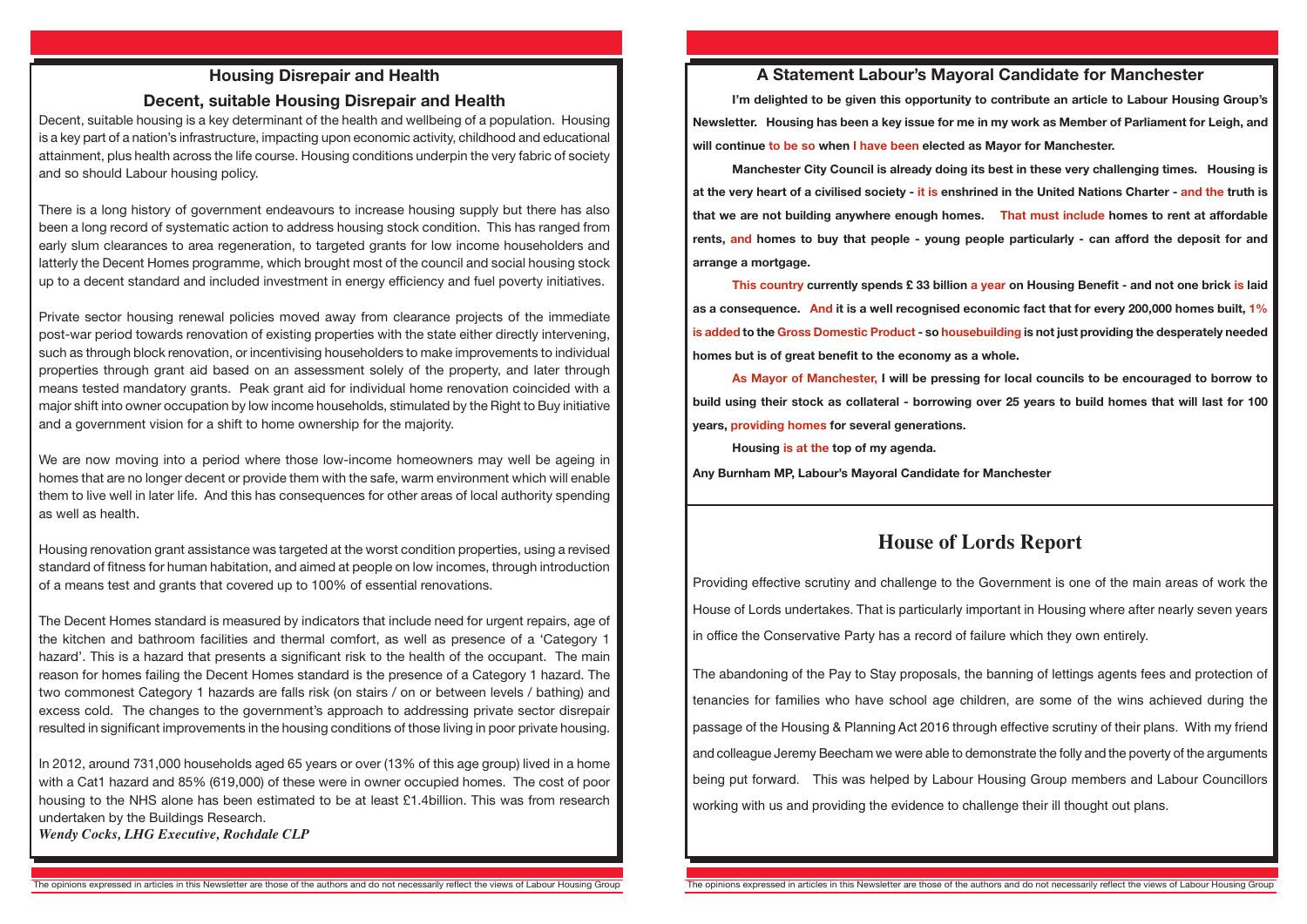### **A Statement Labour's Mayoral Candidate for Manchester**

**I'm delighted to be given this opportunity to contribute an article to Labour Housing Group's Newsletter. Housing has been a key issue for me in my work as Member of Parliament for Leigh, and will continue to be so when I have been elected as Mayor for Manchester.**

**Manchester City Council is already doing its best in these very challenging times. Housing is at the very heart of a civilised society - it is enshrined in the United Nations Charter - and the truth is that we are not building anywhere enough homes. That must include homes to rent at affordable rents, and homes to buy that people - young people particularly - can afford the deposit for and arrange a mortgage.**

**This country currently spends £ 33 billion a year on Housing Benefit - and not one brick is laid as a consequence. And it is a well recognised economic fact that for every 200,000 homes built, 1% is added to the Gross Domestic Product - so housebuilding is not just providing the desperately needed homes but is of great benefit to the economy as a whole.**

**As Mayor of Manchester, I will be pressing for local councils to be encouraged to borrow to build using their stock as collateral - borrowing over 25 years to build homes that will last for 100 years, providing homes for several generations.**

**Housing is at the top of my agenda. Any Burnham MP, Labour's Mayoral Candidate for Manchester**

## **House of Lords Report**

Providing effective scrutiny and challenge to the Government is one of the main areas of work the House of Lords undertakes. That is particularly important in Housing where after nearly seven years in office the Conservative Party has a record of failure which they own entirely.

We are now moving into a period where those low-income homeowners may well be ageing in homes that are no longer decent or provide them with the safe, warm environment which will enable them to live well in later life. And this has consequences for other areas of local authority spending as well as health.

> The abandoning of the Pay to Stay proposals, the banning of lettings agents fees and protection of tenancies for families who have school age children, are some of the wins achieved during the passage of the Housing & Planning Act 2016 through effective scrutiny of their plans. With my friend and colleague Jeremy Beecham we were able to demonstrate the folly and the poverty of the arguments being put forward. This was helped by Labour Housing Group members and Labour Councillors working with us and providing the evidence to challenge their ill thought out plans.

### **Housing Disrepair and Health**

### **Decent, suitable Housing Disrepair and Health**

Decent, suitable housing is a key determinant of the health and wellbeing of a population. Housing is a key part of a nation's infrastructure, impacting upon economic activity, childhood and educational attainment, plus health across the life course. Housing conditions underpin the very fabric of society and so should Labour housing policy.

There is a long history of government endeavours to increase housing supply but there has also been a long record of systematic action to address housing stock condition. This has ranged from early slum clearances to area regeneration, to targeted grants for low income householders and latterly the Decent Homes programme, which brought most of the council and social housing stock up to a decent standard and included investment in energy efficiency and fuel poverty initiatives.

Private sector housing renewal policies moved away from clearance projects of the immediate post-war period towards renovation of existing properties with the state either directly intervening, such as through block renovation, or incentivising householders to make improvements to individual properties through grant aid based on an assessment solely of the property, and later through means tested mandatory grants. Peak grant aid for individual home renovation coincided with a major shift into owner occupation by low income households, stimulated by the Right to Buy initiative and a government vision for a shift to home ownership for the majority.

Housing renovation grant assistance was targeted at the worst condition properties, using a revised standard of fitness for human habitation, and aimed at people on low incomes, through introduction of a means test and grants that covered up to 100% of essential renovations.

The Decent Homes standard is measured by indicators that include need for urgent repairs, age of the kitchen and bathroom facilities and thermal comfort, as well as presence of a 'Category 1 hazard'. This is a hazard that presents a significant risk to the health of the occupant. The main reason for homes failing the Decent Homes standard is the presence of a Category 1 hazard. The two commonest Category 1 hazards are falls risk (on stairs / on or between levels / bathing) and excess cold. The changes to the government's approach to addressing private sector disrepair resulted in significant improvements in the housing conditions of those living in poor private housing.

In 2012, around 731,000 households aged 65 years or over (13% of this age group) lived in a home with a Cat1 hazard and 85% (619,000) of these were in owner occupied homes. The cost of poor housing to the NHS alone has been estimated to be at least £1.4billion. This was from research undertaken by the Buildings Research.

*Wendy Cocks, LHG Executive, Rochdale CLP*